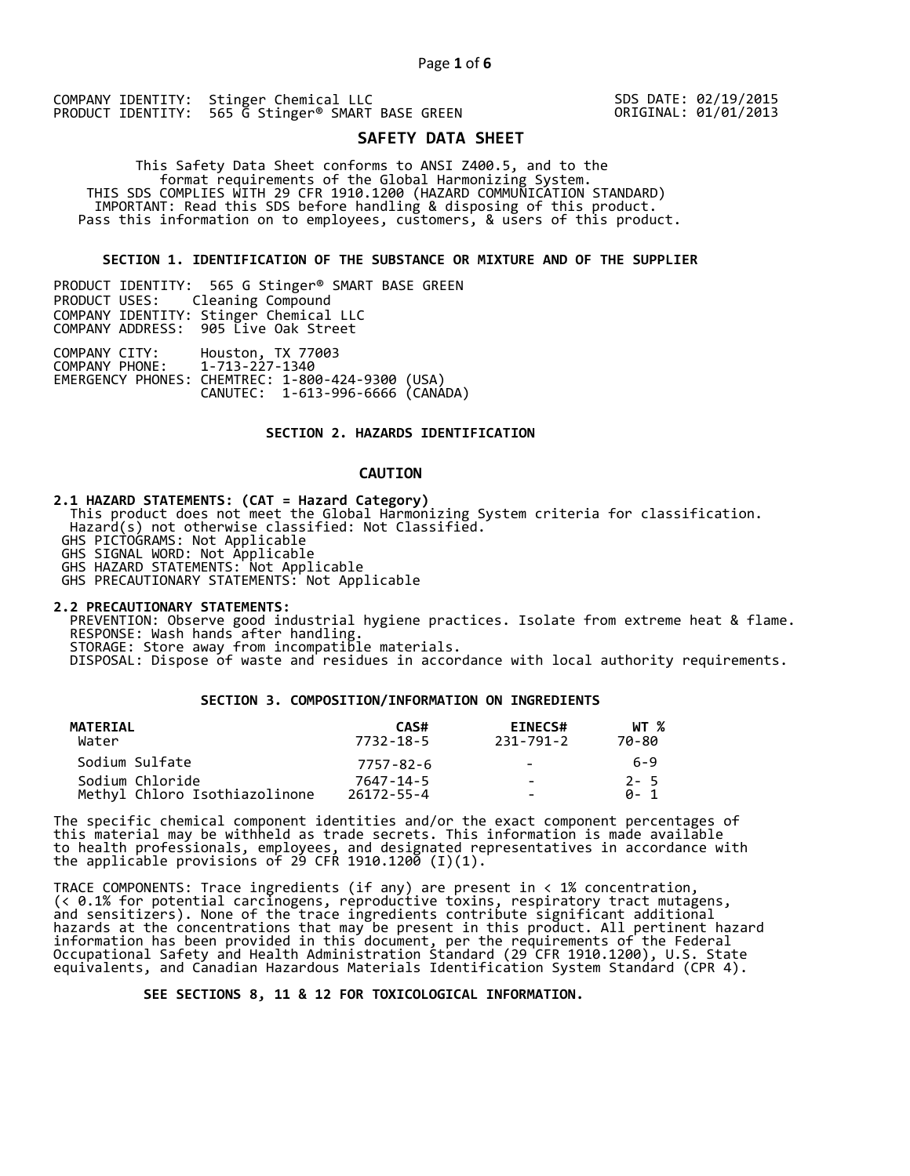SDS DATE: 02/19/2015 ORIGINAL: 01/01/2013

# **SAFETY DATA SHEET**

 This Safety Data Sheet conforms to ANSI Z400.5, and to the format requirements of the Global Harmonizing System. THIS SDS COMPLIES WITH 29 CFR 1910.1200 (HAZARD COMMUNICATION STANDARD) IMPORTANT: Read this SDS before handling & disposing of this product. Pass this information on to employees, customers, & users of this product.

**SECTION 1. IDENTIFICATION OF THE SUBSTANCE OR MIXTURE AND OF THE SUPPLIER** 

PRODUCT IDENTITY: 565 G Stinger® SMART BASE GREEN Cleaning Compound COMPANY IDENTITY: Stinger Chemical LLC COMPANY ADDRESS: 905 Live Oak Street COMPANY CITY: Houston, TX 77003 COMPANY PHONE: 1-713-227-1340 EMERGENCY PHONES: CHEMTREC: 1-800-424-9300 (USA)

CANUTEC: 1-613-996-6666 (CANADA)

# **SECTION 2. HAZARDS IDENTIFICATION**

# **CAUTION**

**2.1 HAZARD STATEMENTS: (CAT = Hazard Category)**

 This product does not meet the Global Harmonizing System criteria for classification. Hazard(s) not otherwise classified: Not Classified.

GHS PICTOGRAMS: Not Applicable

GHS SIGNAL WORD: Not Applicable

GHS HAZARD STATEMENTS: Not Applicable

GHS PRECAUTIONARY STATEMENTS: Not Applicable

**2.2 PRECAUTIONARY STATEMENTS:** 

 PREVENTION: Observe good industrial hygiene practices. Isolate from extreme heat & flame. RESPONSE: Wash hands after handling. STORAGE: Store away from incompatible materials.

DISPOSAL: Dispose of waste and residues in accordance with local authority requirements.

# **SECTION 3. COMPOSITION/INFORMATION ON INGREDIENTS**

| MATERIAL<br>Water             | CAS#<br>7732-18-5 | <b>EINECS#</b><br>231-791-2 | WT %<br>70-80 |
|-------------------------------|-------------------|-----------------------------|---------------|
| Sodium Sulfate                | 7757-82-6         | $\sim$                      | 6-9           |
| Sodium Chloride               | 7647-14-5         | $\sim$                      | $2 - 5$       |
| Methyl Chloro Isothiazolinone | $26172 - 55 - 4$  | $\overline{\phantom{0}}$    | A- 1          |

The specific chemical component identities and/or the exact component percentages of this material may be withheld as trade secrets. This information is made available to health professionals, employees, and designated representatives in accordance with the applicable provisions of 29 CFR 1910.1200̄ (I)(1).  $\overline{\phantom{a}}$ 

TRACE COMPONENTS: Trace ingredients (if any) are present in < 1% concentration, (< 0.1% for potential carcinogens, reproductive toxins, respiratory tract mutagens, and sensitizers). None of the trace ingredients contribute significant additional hazards at the concentrations that may be present in this product. All pertinent hazard information has been provided in this document, per the requirements of the Federal Occupational Safety and Health Administration Standard (29 CFR 1910.1200), U.S. State equivalents, and Canadian Hazardous Materials Identification System Standard (CPR 4).

 **SEE SECTIONS 8, 11 & 12 FOR TOXICOLOGICAL INFORMATION.**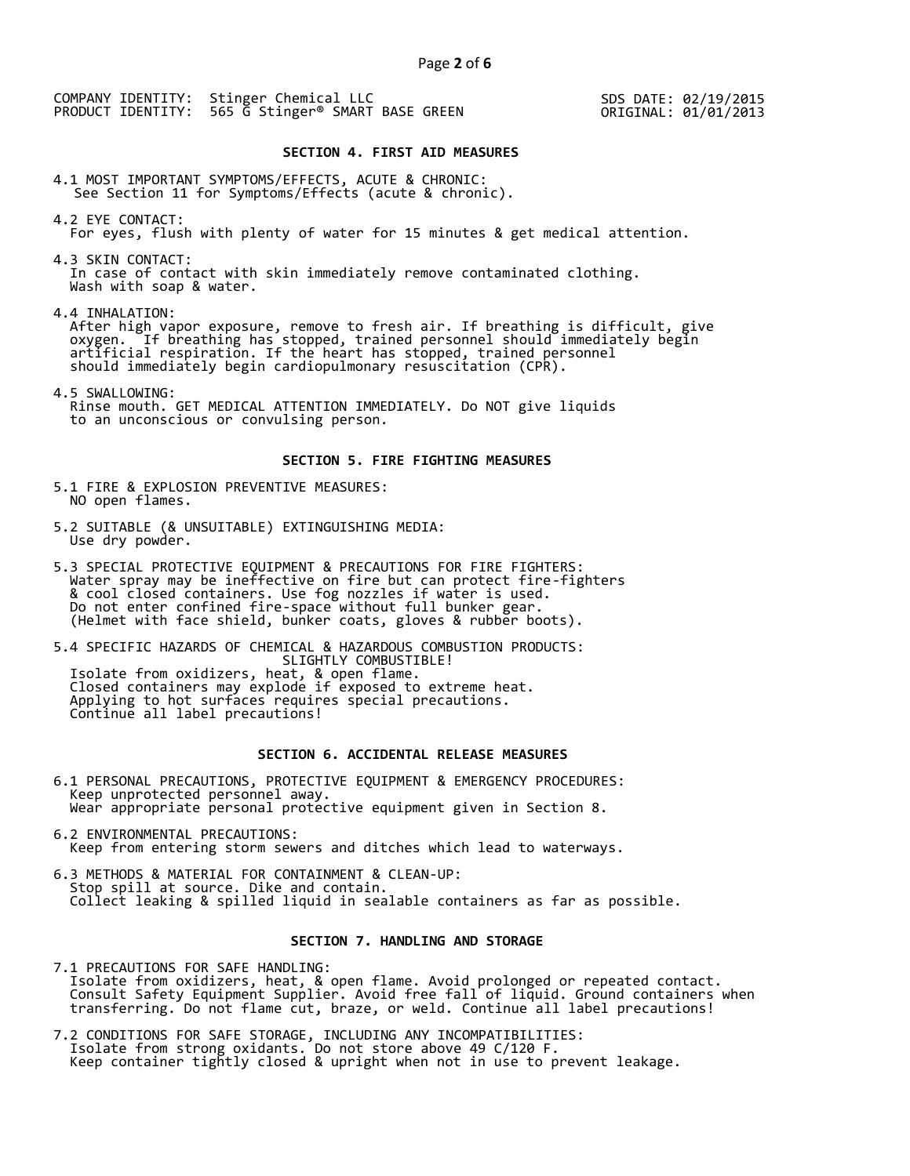SDS DATE: 02/19/2015 ORIGINAL: 01/01/2013

# **SECTION 4. FIRST AID MEASURES**

4.1 MOST IMPORTANT SYMPTOMS/EFFECTS, ACUTE & CHRONIC: See Section 11 for Symptoms/Effects (acute & chronic).

4.2 EYE CONTACT: For eyes, flush with plenty of water for 15 minutes & get medical attention.

4.3 SKIN CONTACT: In case of contact with skin immediately remove contaminated clothing. Wash with soap & water.

4.4 INHALATION:

 After high vapor exposure, remove to fresh air. If breathing is difficult, give oxygen. If breathing has stopped, trained personnel should immediately begin artificial respiration. If the heart has stopped, trained personnel should immediately begin cardiopulmonary resuscitation (CPR).

4.5 SWALLOWING: Rinse mouth. GET MEDICAL ATTENTION IMMEDIATELY. Do NOT give liquids to an unconscious or convulsing person.

#### **SECTION 5. FIRE FIGHTING MEASURES**

5.1 FIRE & EXPLOSION PREVENTIVE MEASURES: NO open flames.

- 5.2 SUITABLE (& UNSUITABLE) EXTINGUISHING MEDIA: Use dry powder.
- 5.3 SPECIAL PROTECTIVE EQUIPMENT & PRECAUTIONS FOR FIRE FIGHTERS: Water spray may be ineffective on fire but can protect fire-fighters & cool closed containers. Use fog nozzles if water is used. Do not enter confined fire-space without full bunker gear. (Helmet with face shield, bunker coats, gloves & rubber boots).

5.4 SPECIFIC HAZARDS OF CHEMICAL & HAZARDOUS COMBUSTION PRODUCTS: SLIGHTLY COMBUSTIBLE! Isolate from oxidizers, heat, & open flame. Closed containers may explode if exposed to extreme heat. Applying to hot surfaces requires special precautions. Continue all label precautions!

# **SECTION 6. ACCIDENTAL RELEASE MEASURES**

- 6.1 PERSONAL PRECAUTIONS, PROTECTIVE EQUIPMENT & EMERGENCY PROCEDURES: Keep unprotected personnel away. Wear appropriate personal protective equipment given in Section 8.
- 6.2 ENVIRONMENTAL PRECAUTIONS: Keep from entering storm sewers and ditches which lead to waterways.
- 6.3 METHODS & MATERIAL FOR CONTAINMENT & CLEAN-UP: Stop spill at source. Dike and contain. Collect leaking & spilled liquid in sealable containers as far as possible.

# **SECTION 7. HANDLING AND STORAGE**

7.1 PRECAUTIONS FOR SAFE HANDLING: Isolate from oxidizers, heat, & open flame. Avoid prolonged or repeated contact. Consult Safety Equipment Supplier. Avoid free fall of liquid. Ground containers when transferring. Do not flame cut, braze, or weld. Continue all label precautions!

7.2 CONDITIONS FOR SAFE STORAGE, INCLUDING ANY INCOMPATIBILITIES: Isolate from strong oxidants. Do not store above 49 C/120 F. Keep container tightly closed & upright when not in use to prevent leakage.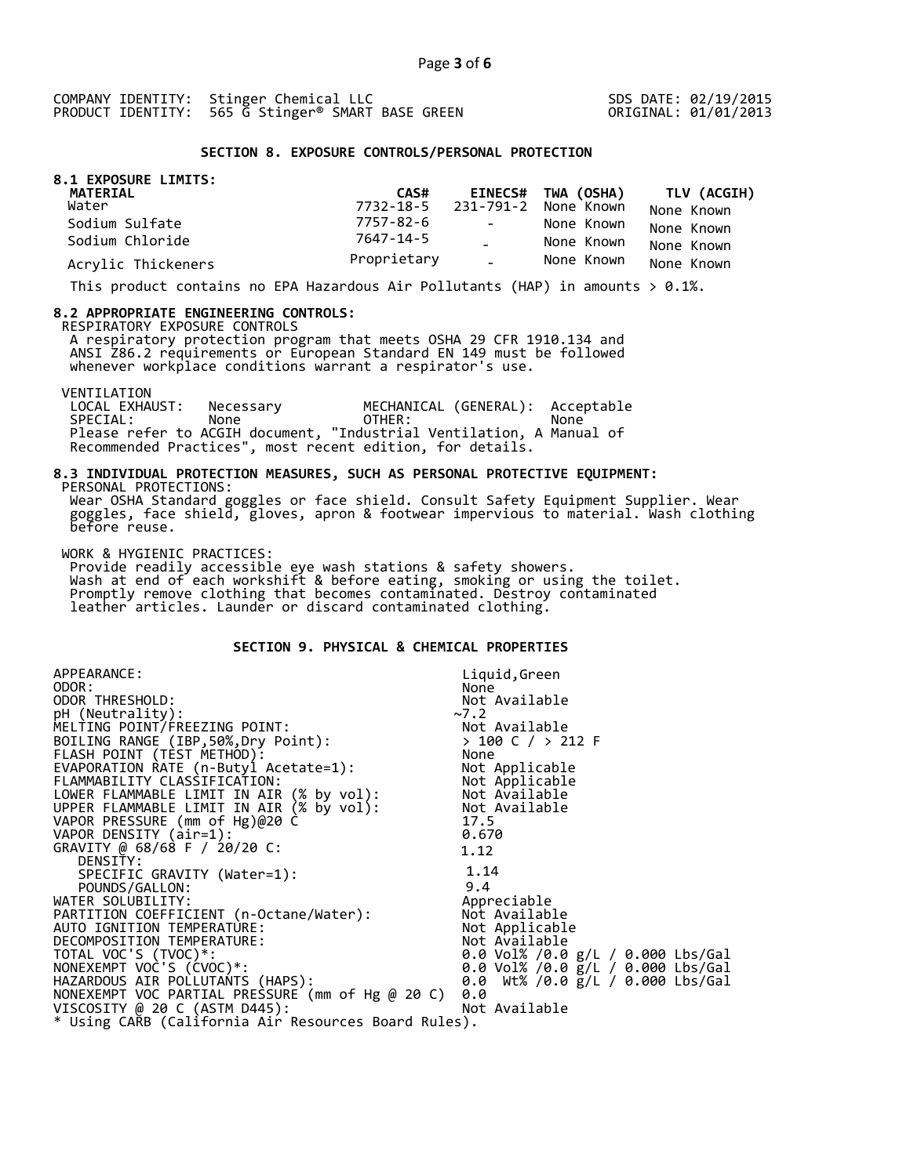SDS DATE: 02/19/2015 ORIGINAL: 01/01/2013

### **SECTION 8. EXPOSURE CONTROLS/PERSONAL PROTECTION**

| 8.1 EXPOSURE LIMITS:<br>MATERIAL | CAS#        |               | EINECS# TWA (OSHA)             | TLV (ACGIH) |
|----------------------------------|-------------|---------------|--------------------------------|-------------|
| Water                            |             |               | 7732-18-5 231-791-2 None Known | None Known  |
| Sodium Sulfate                   | 7757-82-6   | $\sim$        | None Known                     | None Known  |
| Sodium Chloride                  | 7647-14-5   |               | None Known                     | None Known  |
| Acrylic Thickeners               | Proprietary | $\Delta \phi$ | None Known                     | None Known  |

This product contains no EPA Hazardous Air Pollutants (HAP) in amounts  $> 0.1\%$ .

#### **8.2 APPROPRIATE ENGINEERING CONTROLS:**

RESPIRATORY EXPOSURE CONTROLS

 A respiratory protection program that meets OSHA 29 CFR 1910.134 and ANSI Z86.2 requirements or European Standard EN 149 must be followed whenever workplace conditions warrant a respirator's use.

VENTILATION<br>LOCAL EXHAUST: LOCAL EXHAUST: Necessary MECHANICAL (GENERAL): Acceptable SPECIAL: None OTHER: None Please refer to ACGIH document, "Industrial Ventilation, A Manual of Recommended Practices", most recent edition, for details.

#### **8.3 INDIVIDUAL PROTECTION MEASURES, SUCH AS PERSONAL PROTECTIVE EQUIPMENT:**  PERSONAL PROTECTIONS:

 Wear OSHA Standard goggles or face shield. Consult Safety Equipment Supplier. Wear goggles, face shield, gloves, apron & footwear impervious to material. Wash clothing before reuse.

WORK & HYGIENIC PRACTICES:

 Provide readily accessible eye wash stations & safety showers. Wash at end of each workshift & before eating, smoking or using the toilet. Promptly remove clothing that becomes contaminated. Destroy contaminated leather articles. Launder or discard contaminated clothing.

# **SECTION 9. PHYSICAL & CHEMICAL PROPERTIES**

| APPEARANCE:                                                                                            | Liquid, Green                             |  |  |
|--------------------------------------------------------------------------------------------------------|-------------------------------------------|--|--|
| ODOR:                                                                                                  | None                                      |  |  |
| ODOR THRESHOLD:                                                                                        | Not Available                             |  |  |
| pH (Neutrality):                                                                                       | $~2$ .2                                   |  |  |
| MELTING POINT/FREEZING POINT:                                                                          |                                           |  |  |
| BOILING RANGE (IBP, 50%, Dry Point):                                                                   | Not Available<br>> 100 C / > 212 F        |  |  |
| FLASH POINT (TÈST METHOD):                                                                             | None                                      |  |  |
| EVAPORATION RATE (n-Butyl Acetate=1):                                                                  | Not Applicable                            |  |  |
|                                                                                                        | Not Applicable                            |  |  |
| FLAMMABILITY CLASSIFICATION: What Applicable<br>LOWER FLAMMABLE LIMIT IN AIR (% by vol): Not Available |                                           |  |  |
| UPPER FLAMMABLE LIMIT IN AIR (% by vol): Not Available                                                 |                                           |  |  |
| VAPOR PRESSURE (mm of Hg)@20 C                                                                         | 17.5                                      |  |  |
| VAPOR DENSITY (air=1):                                                                                 | 0.670                                     |  |  |
| GRAVITY @ 68/68 F / 20/20 C:                                                                           | 1.12                                      |  |  |
| DENSITY:                                                                                               |                                           |  |  |
| SPECIFIC GRAVITY (Water=1):                                                                            | 1.14                                      |  |  |
| POUNDS/GALLON:                                                                                         | 9.4                                       |  |  |
| WATER SOLUBILITY:                                                                                      | Appreciable                               |  |  |
| PARTITION COEFFICIENT (n-Octane/Water):                                                                | Not Available                             |  |  |
| AUTO IGNITION TEMPERATURE:                                                                             | Not Applicable                            |  |  |
| DECOMPOSITION TEMPERATURE:                                                                             | Not Available                             |  |  |
| TOTAL VOC'S (TVOC)*:                                                                                   | 0.0 Vol% /0.0 g/L / 0.000 Lbs/Gal         |  |  |
| NONEXEMPT VOC'S (CVOC)*:                                                                               | 0.0 Vol% /0.0 $\bar{g}/L$ / 0.000 Lbs/Gal |  |  |
| HAZARDOUS AIR POLLUTANTS (HAPS):                                                                       | 0.0 Wt% /0.0 g/L / 0.000 Lbs/Gal          |  |  |
| NONEXEMPT VOC PARTIAL PRESSURE (mm of Hg @ 20 C)                                                       | 0.0                                       |  |  |
| VISCOSITY @ 20 C (ASTM D445):                                                                          | Not Available                             |  |  |
| * Using CARB (California Air Resources Board Rules).                                                   |                                           |  |  |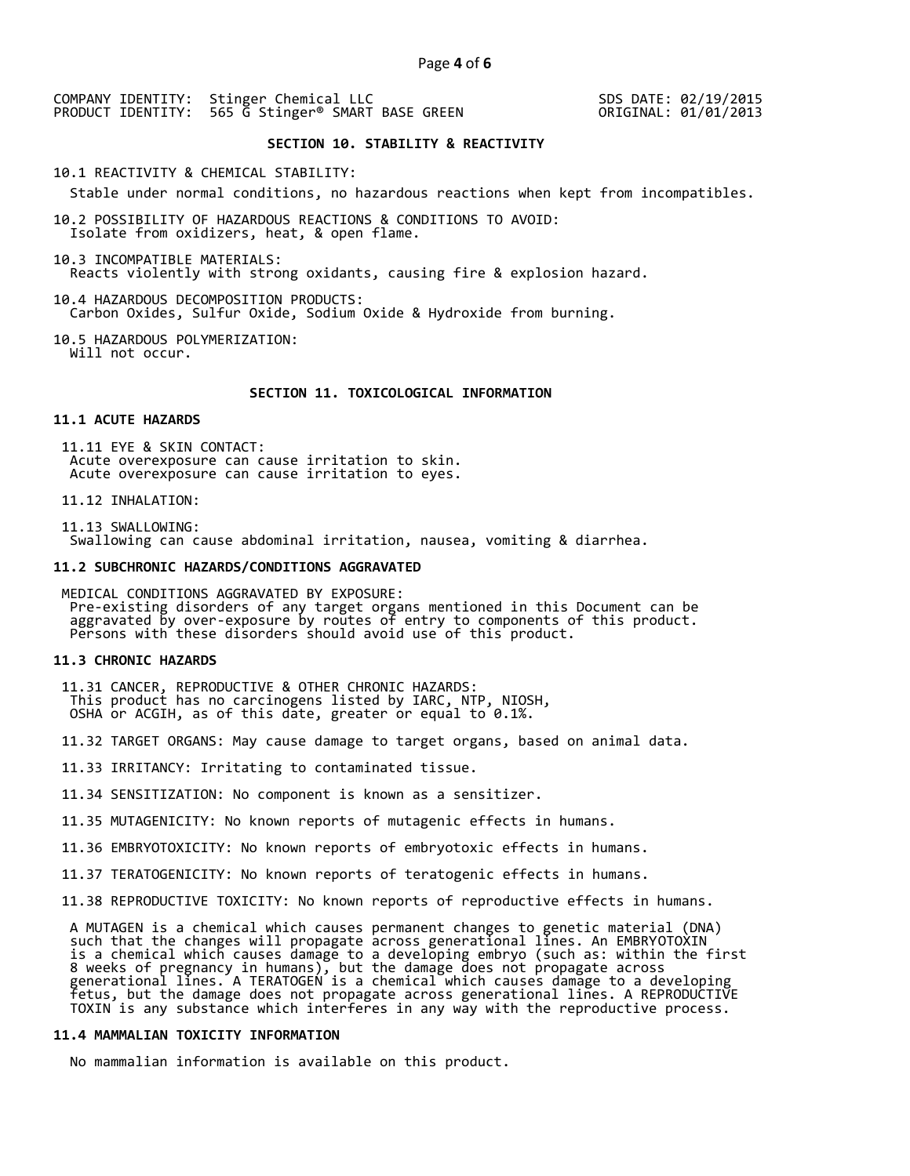SDS DATE: 02/19/2015 ORIGINAL: 01/01/2013

# **SECTION 10. STABILITY & REACTIVITY**

10.1 REACTIVITY & CHEMICAL STABILITY:

Stable under normal conditions, no hazardous reactions when kept from incompatibles.

10.2 POSSIBILITY OF HAZARDOUS REACTIONS & CONDITIONS TO AVOID: Isolate from oxidizers, heat, & open flame.

10.3 INCOMPATIBLE MATERIALS: Reacts violently with strong oxidants, causing fire & explosion hazard.

10.4 HAZARDOUS DECOMPOSITION PRODUCTS: Carbon Oxides, Sulfur Oxide, Sodium Oxide & Hydroxide from burning.

10.5 HAZARDOUS POLYMERIZATION: Will not occur.

#### **SECTION 11. TOXICOLOGICAL INFORMATION**

# **11.1 ACUTE HAZARDS**

 11.11 EYE & SKIN CONTACT: Acute overexposure can cause irritation to skin. Acute overexposure can cause irritation to eyes.

11.12 INHALATION:

 11.13 SWALLOWING: Swallowing can cause abdominal irritation, nausea, vomiting & diarrhea.

#### **11.2 SUBCHRONIC HAZARDS/CONDITIONS AGGRAVATED**

 MEDICAL CONDITIONS AGGRAVATED BY EXPOSURE: Pre-existing disorders of any target organs mentioned in this Document can be aggravated by over-exposure by routes of entry to components of this product. Persons with these disorders should avoid use of this product.

#### **11.3 CHRONIC HAZARDS**

 11.31 CANCER, REPRODUCTIVE & OTHER CHRONIC HAZARDS: This product has no carcinogens listed by IARC, NTP, NIOSH, OSHA or ACGIH, as of this date, greater or equal to 0.1%.

11.32 TARGET ORGANS: May cause damage to target organs, based on animal data.

11.33 IRRITANCY: Irritating to contaminated tissue.

11.34 SENSITIZATION: No component is known as a sensitizer.

11.35 MUTAGENICITY: No known reports of mutagenic effects in humans.

11.36 EMBRYOTOXICITY: No known reports of embryotoxic effects in humans.

11.37 TERATOGENICITY: No known reports of teratogenic effects in humans.

11.38 REPRODUCTIVE TOXICITY: No known reports of reproductive effects in humans.

 A MUTAGEN is a chemical which causes permanent changes to genetic material (DNA) such that the changes will propagate across generational lines. An EMBRYOTOXIN is a chemical which causes damage to a developing embryo (such as: within the first 8 weeks of pregnancy in humans), but the damage does not propagate across generational lines. A TERATOGEN is a chemical which causes damage to a developing fetus, but the damage does not propagate across generational lines. A REPRODUCTIVE TOXIN is any substance which interferes in any way with the reproductive process.

# **11.4 MAMMALIAN TOXICITY INFORMATION**

No mammalian information is available on this product.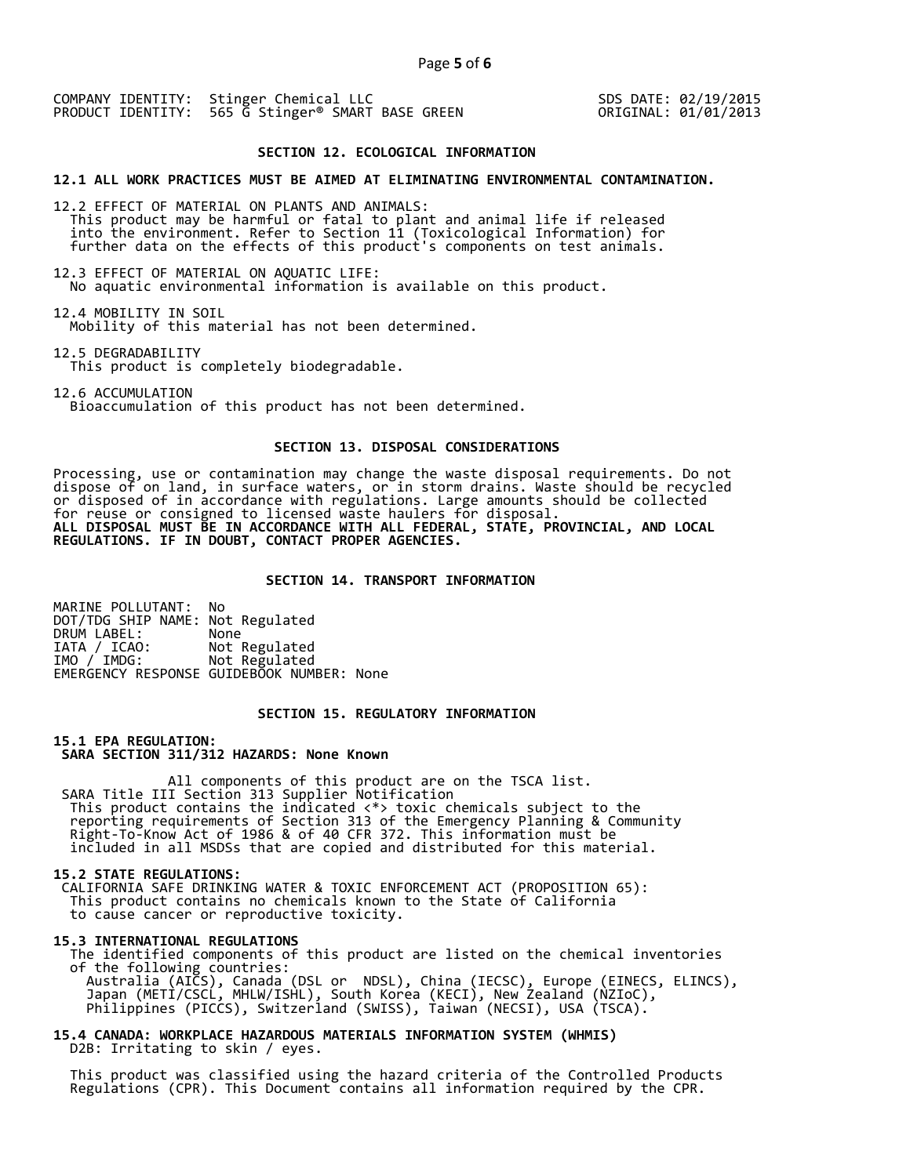SDS DATE: 02/19/2015 ORIGINAL: 01/01/2013

# **SECTION 12. ECOLOGICAL INFORMATION**

**12.1 ALL WORK PRACTICES MUST BE AIMED AT ELIMINATING ENVIRONMENTAL CONTAMINATION.** 

12.2 EFFECT OF MATERIAL ON PLANTS AND ANIMALS: This product may be harmful or fatal to plant and animal life if released into the environment. Refer to Section 11 (Toxicological Information) for further data on the effects of this product's components on test animals.

12.3 EFFECT OF MATERIAL ON AQUATIC LIFE: No aquatic environmental information is available on this product.

12.4 MOBILITY IN SOIL Mobility of this material has not been determined.

12.5 DEGRADABILITY This product is completely biodegradable.

12.6 ACCUMULATION Bioaccumulation of this product has not been determined.

#### **SECTION 13. DISPOSAL CONSIDERATIONS**

Processing, use or contamination may change the waste disposal requirements. Do not dispose of on land, in surface waters, or in storm drains. Waste should be recycled or disposed of in accordance with regulations. Large amounts should be collected for reuse or consigned to licensed waste haulers for disposal. **ALL DISPOSAL MUST BE IN ACCORDANCE WITH ALL FEDERAL, STATE, PROVINCIAL, AND LOCAL REGULATIONS. IF IN DOUBT, CONTACT PROPER AGENCIES.** 

## **SECTION 14. TRANSPORT INFORMATION**

MARINE POLLUTANT: No DOT/TDG SHIP NAME: Not Regulated DRUM LABEL:<br>IATA / ICAO: IATA / ICAO: Not Regulated<br>IMO / IMDG: Not Regulated Not Regulated EMERGENCY RESPONSE GUIDEBOOK NUMBER: None

# **SECTION 15. REGULATORY INFORMATION**

**15.1 EPA REGULATION: SARA SECTION 311/312 HAZARDS: None Known** 

All components of this product are on the TSCA list. SARA Title III Section 313 Supplier Notification This product contains the indicated <\*> toxic chemicals subject to the reporting requirements of Section 313 of the Emergency Planning & Community Right-To-Know Act of 1986 & of 40 CFR 372. This information must be included in all MSDSs that are copied and distributed for this material.

#### **15.2 STATE REGULATIONS:**

 CALIFORNIA SAFE DRINKING WATER & TOXIC ENFORCEMENT ACT (PROPOSITION 65): This product contains no chemicals known to the State of California to cause cancer or reproductive toxicity.

#### **15.3 INTERNATIONAL REGULATIONS**

 The identified components of this product are listed on the chemical inventories of the following countries: Australia (AICS), Canada (DSL or NDSL), China (IECSC), Europe (EINECS, ELINCS), Japan (METI/CSCL, MHLW/ISHL), South Korea (KECI), New Zealand (NZIoC), Philippines (PICCS), Switzerland (SWISS), Taiwan (NECSI), USA (TSCA).

**15.4 CANADA: WORKPLACE HAZARDOUS MATERIALS INFORMATION SYSTEM (WHMIS)**  D2B: Irritating to skin / eyes.

 This product was classified using the hazard criteria of the Controlled Products Regulations (CPR). This Document contains all information required by the CPR.